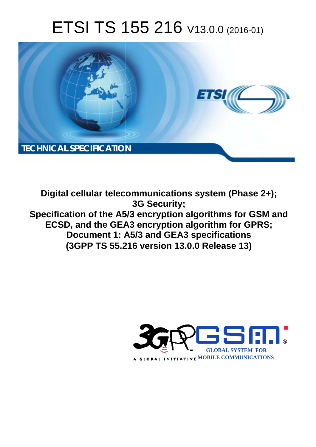# ETSI TS 155 216 V13.0.0 (2016-01)



**Digital cellular telecommunications system (Phase 2+); Specification of the A5/3 encryption algorithms for GSM and ECSD, and the GEA3 encryption algorithm for GPRS;** Document 1: A5/3 and GEA3 specifications **(3GPP TS 55.2 .216 version 13.0.0 Release 13 13) 3G Security;** 

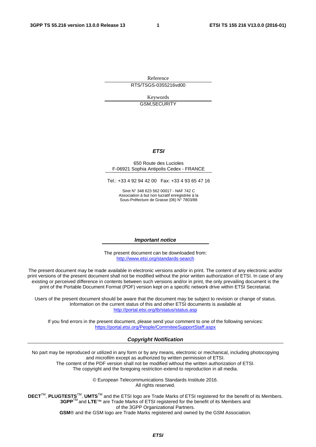Reference RTS/TSGS-0355216vd00

> Keywords GSM,SECURITY

#### *ETSI*

#### 650 Route des Lucioles F-06921 Sophia Antipolis Cedex - FRANCE

Tel.: +33 4 92 94 42 00 Fax: +33 4 93 65 47 16

Siret N° 348 623 562 00017 - NAF 742 C Association à but non lucratif enregistrée à la Sous-Préfecture de Grasse (06) N° 7803/88

#### *Important notice*

The present document can be downloaded from: <http://www.etsi.org/standards-search>

The present document may be made available in electronic versions and/or in print. The content of any electronic and/or print versions of the present document shall not be modified without the prior written authorization of ETSI. In case of any existing or perceived difference in contents between such versions and/or in print, the only prevailing document is the print of the Portable Document Format (PDF) version kept on a specific network drive within ETSI Secretariat.

Users of the present document should be aware that the document may be subject to revision or change of status. Information on the current status of this and other ETSI documents is available at <http://portal.etsi.org/tb/status/status.asp>

If you find errors in the present document, please send your comment to one of the following services: <https://portal.etsi.org/People/CommiteeSupportStaff.aspx>

#### *Copyright Notification*

No part may be reproduced or utilized in any form or by any means, electronic or mechanical, including photocopying and microfilm except as authorized by written permission of ETSI.

The content of the PDF version shall not be modified without the written authorization of ETSI. The copyright and the foregoing restriction extend to reproduction in all media.

> © European Telecommunications Standards Institute 2016. All rights reserved.

**DECT**TM, **PLUGTESTS**TM, **UMTS**TM and the ETSI logo are Trade Marks of ETSI registered for the benefit of its Members. **3GPP**TM and **LTE**™ are Trade Marks of ETSI registered for the benefit of its Members and of the 3GPP Organizational Partners.

**GSM**® and the GSM logo are Trade Marks registered and owned by the GSM Association.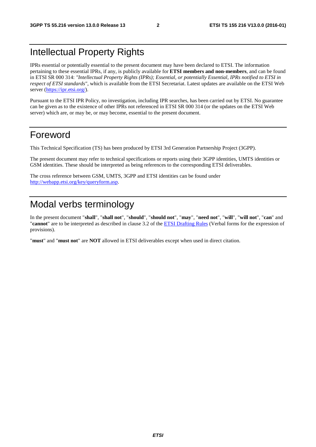## Intellectual Property Rights

IPRs essential or potentially essential to the present document may have been declared to ETSI. The information pertaining to these essential IPRs, if any, is publicly available for **ETSI members and non-members**, and can be found in ETSI SR 000 314: *"Intellectual Property Rights (IPRs); Essential, or potentially Essential, IPRs notified to ETSI in respect of ETSI standards"*, which is available from the ETSI Secretariat. Latest updates are available on the ETSI Web server [\(https://ipr.etsi.org/](https://ipr.etsi.org/)).

Pursuant to the ETSI IPR Policy, no investigation, including IPR searches, has been carried out by ETSI. No guarantee can be given as to the existence of other IPRs not referenced in ETSI SR 000 314 (or the updates on the ETSI Web server) which are, or may be, or may become, essential to the present document.

#### Foreword

This Technical Specification (TS) has been produced by ETSI 3rd Generation Partnership Project (3GPP).

The present document may refer to technical specifications or reports using their 3GPP identities, UMTS identities or GSM identities. These should be interpreted as being references to the corresponding ETSI deliverables.

The cross reference between GSM, UMTS, 3GPP and ETSI identities can be found under [http://webapp.etsi.org/key/queryform.asp.](http://webapp.etsi.org/key/queryform.asp)

## Modal verbs terminology

In the present document "**shall**", "**shall not**", "**should**", "**should not**", "**may**", "**need not**", "**will**", "**will not**", "**can**" and "**cannot**" are to be interpreted as described in clause 3.2 of the [ETSI Drafting Rules](http://portal.etsi.org/Help/editHelp!/Howtostart/ETSIDraftingRules.aspx) (Verbal forms for the expression of provisions).

"**must**" and "**must not**" are **NOT** allowed in ETSI deliverables except when used in direct citation.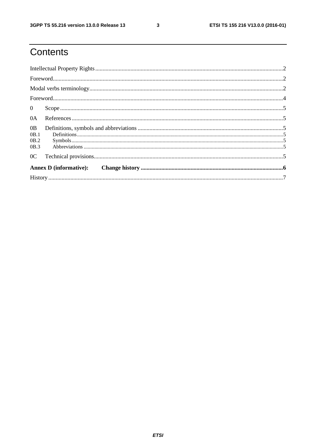$\mathbf{3}$ 

# Contents

| $\overline{0}$             |  |  |  |  |  |  |
|----------------------------|--|--|--|--|--|--|
| 0A                         |  |  |  |  |  |  |
| 0B<br>OB.1<br>0B.2<br>0B.3 |  |  |  |  |  |  |
| 0 <sup>C</sup>             |  |  |  |  |  |  |
|                            |  |  |  |  |  |  |
|                            |  |  |  |  |  |  |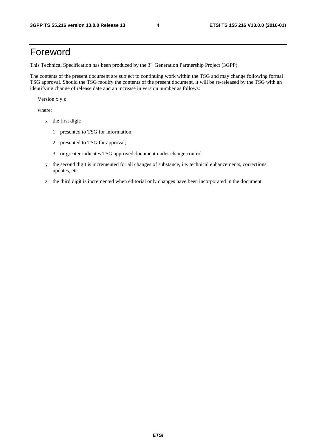### Foreword

This Technical Specification has been produced by the 3<sup>rd</sup> Generation Partnership Project (3GPP).

The contents of the present document are subject to continuing work within the TSG and may change following formal TSG approval. Should the TSG modify the contents of the present document, it will be re-released by the TSG with an identifying change of release date and an increase in version number as follows:

Version x.y.z

where:

- x the first digit:
	- 1 presented to TSG for information;
	- 2 presented to TSG for approval;
	- 3 or greater indicates TSG approved document under change control.
- y the second digit is incremented for all changes of substance, i.e. technical enhancements, corrections, updates, etc.
- z the third digit is incremented when editorial only changes have been incorporated in the document.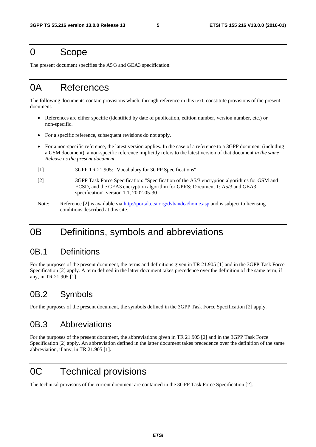#### 0 Scope

The present document specifies the A5/3 and GEA3 specification.

#### 0A References

The following documents contain provisions which, through reference in this text, constitute provisions of the present document.

- References are either specific (identified by date of publication, edition number, version number, etc.) or non-specific.
- For a specific reference, subsequent revisions do not apply.
- For a non-specific reference, the latest version applies. In the case of a reference to a 3GPP document (including a GSM document), a non-specific reference implicitly refers to the latest version of that document *in the same Release as the present document*.
- [1] 3GPP TR 21.905: "Vocabulary for 3GPP Specifications".
- [2] 3GPP Task Force Specification: "Specification of the A5/3 encryption algorithms for GSM and ECSD, and the GEA3 encryption algorithm for GPRS; Document 1: A5/3 and GEA3 specification" version 1.1, 2002-05-30
- Note: Reference [2] is available via [http://portal.etsi.org/dvbandca/home.asp a](http://portal.etsi.org/dvbandca/home.asp)nd is subject to licensing conditions described at this site.

#### 0B Definitions, symbols and abbreviations

#### 0B.1 Definitions

For the purposes of the present document, the terms and definitions given in TR 21.905 [1] and in the 3GPP Task Force Specification [2] apply. A term defined in the latter document takes precedence over the definition of the same term, if any, in TR 21.905 [1].

#### 0B.2 Symbols

For the purposes of the present document, the symbols defined in the 3GPP Task Force Specification [2] apply.

#### 0B.3 Abbreviations

For the purposes of the present document, the abbreviations given in TR 21.905 [2] and in the 3GPP Task Force Specification [2] apply. An abbreviation defined in the latter document takes precedence over the definition of the same abbreviation, if any, in TR 21.905 [1].

## 0C Technical provisions

The technical provisons of the current document are contained in the 3GPP Task Force Specification [2].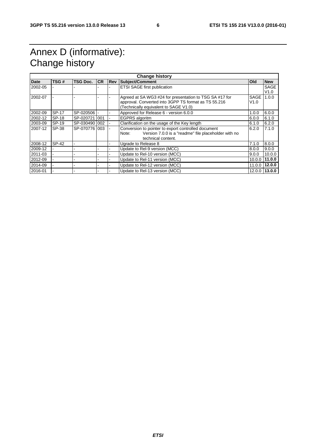## Annex D (informative): Change history

| <b>Change history</b> |              |               |           |            |                                                                                                                                                          |                     |                   |  |  |
|-----------------------|--------------|---------------|-----------|------------|----------------------------------------------------------------------------------------------------------------------------------------------------------|---------------------|-------------------|--|--|
| <b>Date</b>           | TSG#         | TSG Doc.      | <b>CR</b> | <b>Rev</b> | Subject/Comment                                                                                                                                          | <b>Old</b>          | <b>New</b>        |  |  |
| 2002-05               |              |               |           |            | <b>ETSI SAGE first publication</b>                                                                                                                       |                     | SAGE<br>V1.0      |  |  |
| 2002-07               |              |               |           |            | Agreed at SA WG3 #24 for presentation to TSG SA #17 for<br>approval. Converted into 3GPP TS format as TS 55.216<br>(Technically equivalent to SAGE V1.0) | <b>SAGE</b><br>V1.0 | 1.0.0             |  |  |
| 2002-09               | SP-17        | SP-020506     |           |            | Approved for Release 6 - version 6.0.0                                                                                                                   | 1.0.0               | 6.0.0             |  |  |
| 2002-12               | <b>SP-18</b> | SP-020721 001 |           |            | <b>EGPRS</b> algoritm                                                                                                                                    | 6.0.0               | 6.1.0             |  |  |
| 2003-09               | SP-19        | SP-030490 002 |           |            | Clarification on the usage of the Key length                                                                                                             | 6.1.0               | 6.2.0             |  |  |
| 2007-12               | SP-38        | SP-070776 003 |           |            | Conversion to pointer to export controlled document<br>Version 7.0.0 is a "readme" file placeholder with no<br>Note:<br>technical content.               | 6.2.0               | 7.1.0             |  |  |
| 2008-12               | SP-42        |               |           |            | Ugrade to Release 8                                                                                                                                      | 7.1.0               | 8.0.0             |  |  |
| 2009-12               |              |               |           |            | Update to Rel-9 version (MCC)                                                                                                                            | 8.0.0               | 9.0.0             |  |  |
| 2011-03               |              |               |           |            | Update to Rel-10 version (MCC)                                                                                                                           | 9.0.0               | 10.0.0            |  |  |
| 2012-09               |              |               |           |            | Update to Rel-11 version (MCC)                                                                                                                           | 10.0.0              | 11.0.0            |  |  |
| 2014-09               |              |               |           |            | Update to Rel-12 version (MCC)                                                                                                                           |                     | $11.0.0$   12.0.0 |  |  |
| 2016-01               |              |               |           |            | Update to Rel-13 version (MCC)                                                                                                                           |                     | 12.0.0 13.0.0     |  |  |